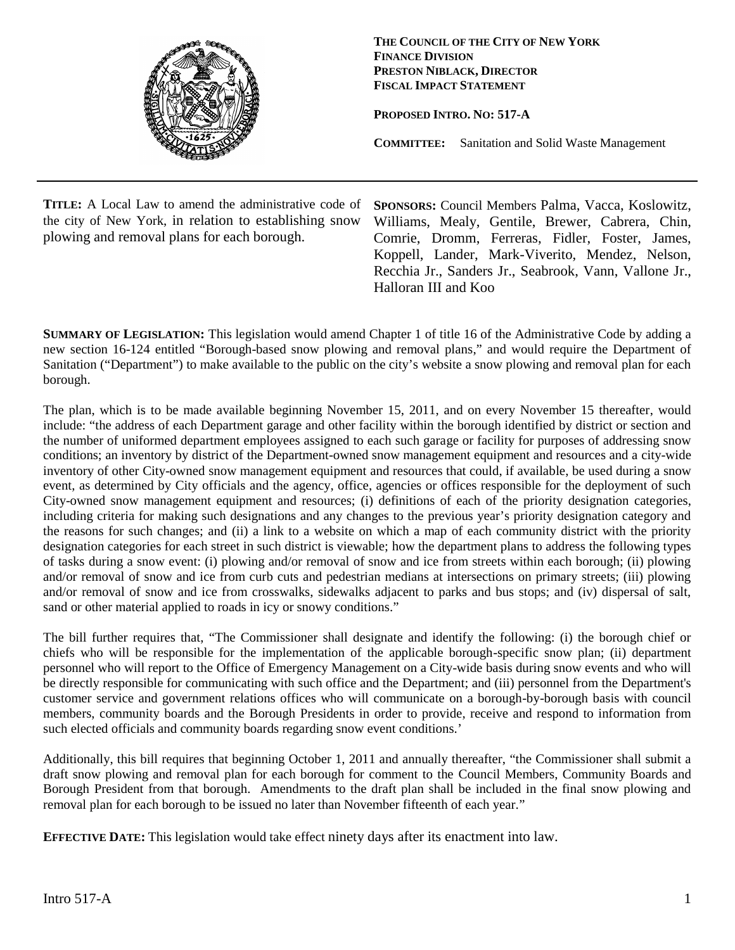

**THE COUNCIL OF THE CITY OF NEW YORK FINANCE DIVISION PRESTON NIBLACK, DIRECTOR FISCAL IMPACT STATEMENT**

**PROPOSED INTRO. NO: 517-A**

**COMMITTEE:** Sanitation and Solid Waste Management

**TITLE:** A Local Law to amend the administrative code of the city of New York, in relation to establishing snow plowing and removal plans for each borough.

**SPONSORS:** Council Members Palma, Vacca, Koslowitz, Williams, Mealy, Gentile, Brewer, Cabrera, Chin, Comrie, Dromm, Ferreras, Fidler, Foster, James, Koppell, Lander, Mark-Viverito, Mendez, Nelson, Recchia Jr., Sanders Jr., Seabrook, Vann, Vallone Jr., Halloran III and Koo

**SUMMARY OF LEGISLATION:** This legislation would amend Chapter 1 of title 16 of the Administrative Code by adding a new section 16-124 entitled "Borough-based snow plowing and removal plans," and would require the Department of Sanitation ("Department") to make available to the public on the city's website a snow plowing and removal plan for each borough.

The plan, which is to be made available beginning November 15, 2011, and on every November 15 thereafter, would include: "the address of each Department garage and other facility within the borough identified by district or section and the number of uniformed department employees assigned to each such garage or facility for purposes of addressing snow conditions; an inventory by district of the Department-owned snow management equipment and resources and a city-wide inventory of other City-owned snow management equipment and resources that could, if available, be used during a snow event, as determined by City officials and the agency, office, agencies or offices responsible for the deployment of such City-owned snow management equipment and resources; (i) definitions of each of the priority designation categories, including criteria for making such designations and any changes to the previous year's priority designation category and the reasons for such changes; and (ii) a link to a website on which a map of each community district with the priority designation categories for each street in such district is viewable; how the department plans to address the following types of tasks during a snow event: (i) plowing and/or removal of snow and ice from streets within each borough; (ii) plowing and/or removal of snow and ice from curb cuts and pedestrian medians at intersections on primary streets; (iii) plowing and/or removal of snow and ice from crosswalks, sidewalks adjacent to parks and bus stops; and (iv) dispersal of salt, sand or other material applied to roads in icy or snowy conditions."

The bill further requires that, "The Commissioner shall designate and identify the following: (i) the borough chief or chiefs who will be responsible for the implementation of the applicable borough-specific snow plan; (ii) department personnel who will report to the Office of Emergency Management on a City-wide basis during snow events and who will be directly responsible for communicating with such office and the Department; and (iii) personnel from the Department's customer service and government relations offices who will communicate on a borough-by-borough basis with council members, community boards and the Borough Presidents in order to provide, receive and respond to information from such elected officials and community boards regarding snow event conditions.'

Additionally, this bill requires that beginning October 1, 2011 and annually thereafter, "the Commissioner shall submit a draft snow plowing and removal plan for each borough for comment to the Council Members, Community Boards and Borough President from that borough. Amendments to the draft plan shall be included in the final snow plowing and removal plan for each borough to be issued no later than November fifteenth of each year."

**EFFECTIVE DATE:** This legislation would take effect ninety days after its enactment into law.